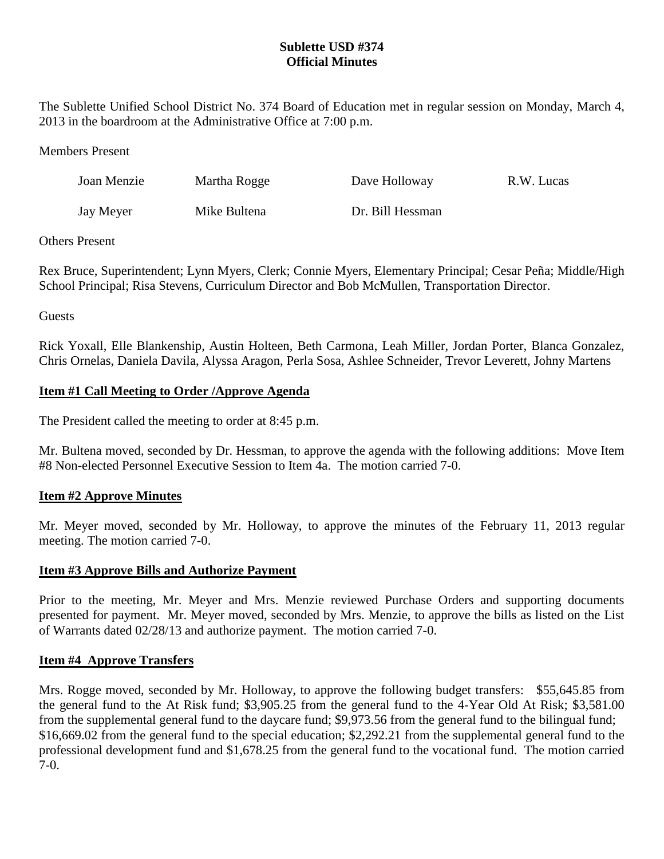# **Sublette USD #374 Official Minutes**

The Sublette Unified School District No. 374 Board of Education met in regular session on Monday, March 4, 2013 in the boardroom at the Administrative Office at 7:00 p.m.

### Members Present

| Joan Menzie | Martha Rogge | Dave Holloway    | R.W. Lucas |
|-------------|--------------|------------------|------------|
| Jay Meyer   | Mike Bultena | Dr. Bill Hessman |            |

## Others Present

Rex Bruce, Superintendent; Lynn Myers, Clerk; Connie Myers, Elementary Principal; Cesar Peña; Middle/High School Principal; Risa Stevens, Curriculum Director and Bob McMullen, Transportation Director.

# Guests

Rick Yoxall, Elle Blankenship, Austin Holteen, Beth Carmona, Leah Miller, Jordan Porter, Blanca Gonzalez, Chris Ornelas, Daniela Davila, Alyssa Aragon, Perla Sosa, Ashlee Schneider, Trevor Leverett, Johny Martens

# **Item #1 Call Meeting to Order /Approve Agenda**

The President called the meeting to order at 8:45 p.m.

Mr. Bultena moved, seconded by Dr. Hessman, to approve the agenda with the following additions: Move Item #8 Non-elected Personnel Executive Session to Item 4a. The motion carried 7-0.

# **Item #2 Approve Minutes**

Mr. Meyer moved, seconded by Mr. Holloway, to approve the minutes of the February 11, 2013 regular meeting. The motion carried 7-0.

#### **Item #3 Approve Bills and Authorize Payment**

Prior to the meeting, Mr. Meyer and Mrs. Menzie reviewed Purchase Orders and supporting documents presented for payment. Mr. Meyer moved, seconded by Mrs. Menzie, to approve the bills as listed on the List of Warrants dated 02/28/13 and authorize payment. The motion carried 7-0.

#### **Item #4 Approve Transfers**

Mrs. Rogge moved, seconded by Mr. Holloway, to approve the following budget transfers: \$55,645.85 from the general fund to the At Risk fund; \$3,905.25 from the general fund to the 4-Year Old At Risk; \$3,581.00 from the supplemental general fund to the daycare fund; \$9,973.56 from the general fund to the bilingual fund; \$16,669.02 from the general fund to the special education; \$2,292.21 from the supplemental general fund to the professional development fund and \$1,678.25 from the general fund to the vocational fund. The motion carried 7-0.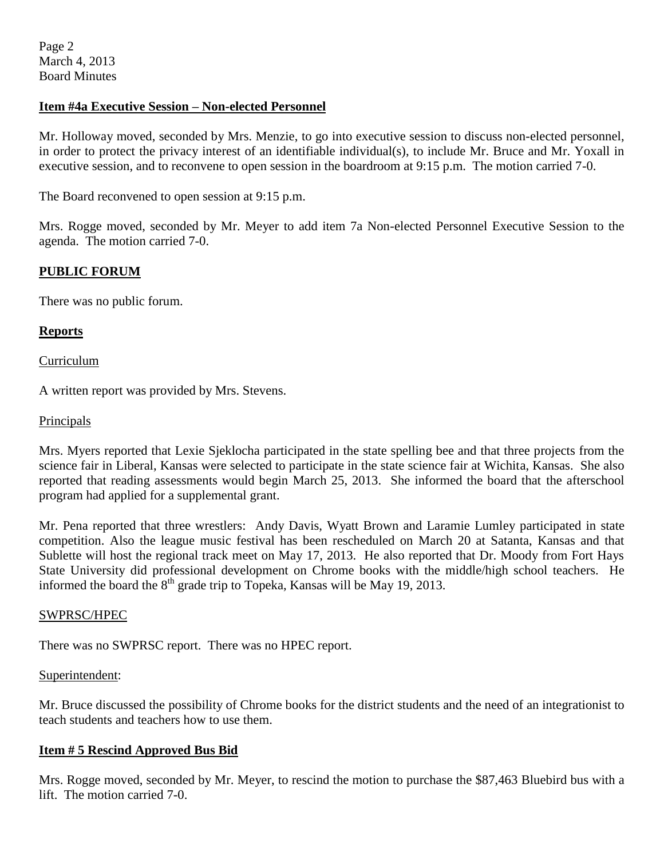Page 2 March 4, 2013 Board Minutes

## **Item #4a Executive Session – Non-elected Personnel**

Mr. Holloway moved, seconded by Mrs. Menzie, to go into executive session to discuss non-elected personnel, in order to protect the privacy interest of an identifiable individual(s), to include Mr. Bruce and Mr. Yoxall in executive session, and to reconvene to open session in the boardroom at 9:15 p.m. The motion carried 7-0.

The Board reconvened to open session at 9:15 p.m.

Mrs. Rogge moved, seconded by Mr. Meyer to add item 7a Non-elected Personnel Executive Session to the agenda. The motion carried 7-0.

## **PUBLIC FORUM**

There was no public forum.

#### **Reports**

Curriculum

A written report was provided by Mrs. Stevens.

#### Principals

Mrs. Myers reported that Lexie Sjeklocha participated in the state spelling bee and that three projects from the science fair in Liberal, Kansas were selected to participate in the state science fair at Wichita, Kansas. She also reported that reading assessments would begin March 25, 2013. She informed the board that the afterschool program had applied for a supplemental grant.

Mr. Pena reported that three wrestlers: Andy Davis, Wyatt Brown and Laramie Lumley participated in state competition. Also the league music festival has been rescheduled on March 20 at Satanta, Kansas and that Sublette will host the regional track meet on May 17, 2013. He also reported that Dr. Moody from Fort Hays State University did professional development on Chrome books with the middle/high school teachers. He informed the board the  $8<sup>th</sup>$  grade trip to Topeka, Kansas will be May 19, 2013.

#### SWPRSC/HPEC

There was no SWPRSC report. There was no HPEC report.

#### Superintendent:

Mr. Bruce discussed the possibility of Chrome books for the district students and the need of an integrationist to teach students and teachers how to use them.

#### **Item # 5 Rescind Approved Bus Bid**

Mrs. Rogge moved, seconded by Mr. Meyer, to rescind the motion to purchase the \$87,463 Bluebird bus with a lift. The motion carried 7-0.